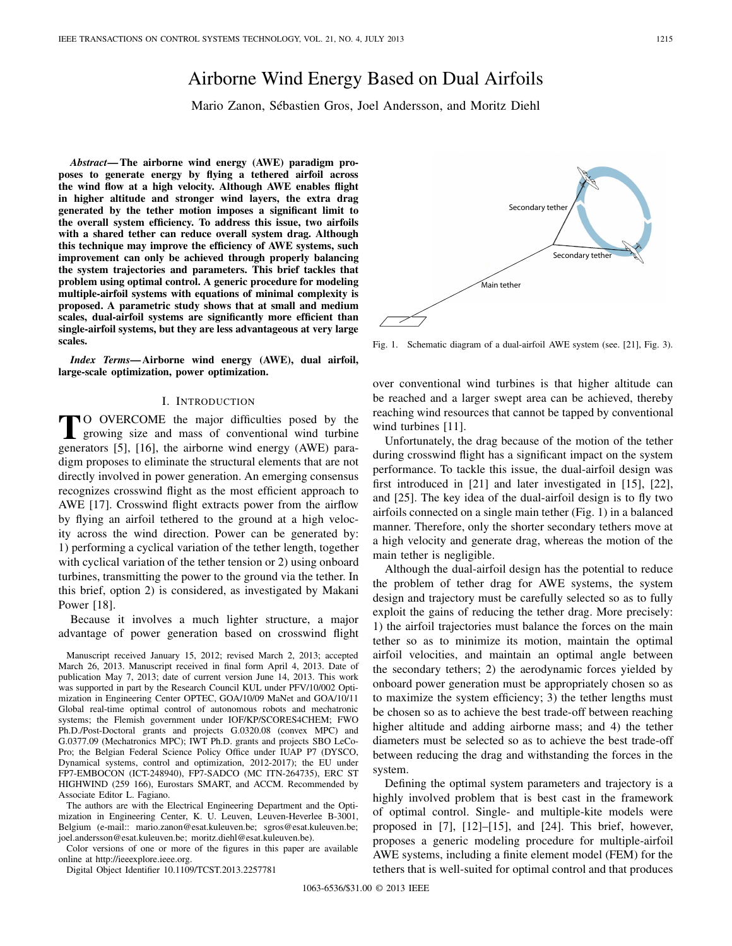# Airborne Wind Energy Based on Dual Airfoils

Mario Zanon, Sébastien Gros, Joel Andersson, and Moritz Diehl

*Abstract***— The airborne wind energy (AWE) paradigm proposes to generate energy by flying a tethered airfoil across the wind flow at a high velocity. Although AWE enables flight in higher altitude and stronger wind layers, the extra drag generated by the tether motion imposes a significant limit to the overall system efficiency. To address this issue, two airfoils with a shared tether can reduce overall system drag. Although this technique may improve the efficiency of AWE systems, such improvement can only be achieved through properly balancing the system trajectories and parameters. This brief tackles that problem using optimal control. A generic procedure for modeling multiple-airfoil systems with equations of minimal complexity is proposed. A parametric study shows that at small and medium scales, dual-airfoil systems are significantly more efficient than single-airfoil systems, but they are less advantageous at very large scales.**

*Index Terms***— Airborne wind energy (AWE), dual airfoil, large-scale optimization, power optimization.**

# I. INTRODUCTION

**T**O OVERCOME the major difficulties posed by the growing size and mass of conventional wind turbine generators [5], [16], the airborne wind energy (AWE) paradigm proposes to eliminate the structural elements that are not directly involved in power generation. An emerging consensus recognizes crosswind flight as the most efficient approach to AWE [17]. Crosswind flight extracts power from the airflow by flying an airfoil tethered to the ground at a high velocity across the wind direction. Power can be generated by: 1) performing a cyclical variation of the tether length, together with cyclical variation of the tether tension or 2) using onboard turbines, transmitting the power to the ground via the tether. In this brief, option 2) is considered, as investigated by Makani Power [18].

Because it involves a much lighter structure, a major advantage of power generation based on crosswind flight

Manuscript received January 15, 2012; revised March 2, 2013; accepted March 26, 2013. Manuscript received in final form April 4, 2013. Date of publication May 7, 2013; date of current version June 14, 2013. This work was supported in part by the Research Council KUL under PFV/10/002 Optimization in Engineering Center OPTEC, GOA/10/09 MaNet and GOA/10/11 Global real-time optimal control of autonomous robots and mechatronic systems; the Flemish government under IOF/KP/SCORES4CHEM; FWO Ph.D./Post-Doctoral grants and projects G.0320.08 (convex MPC) and G.0377.09 (Mechatronics MPC); IWT Ph.D. grants and projects SBO LeCo-Pro; the Belgian Federal Science Policy Office under IUAP P7 (DYSCO, Dynamical systems, control and optimization, 2012-2017); the EU under FP7-EMBOCON (ICT-248940), FP7-SADCO (MC ITN-264735), ERC ST HIGHWIND (259 166), Eurostars SMART, and ACCM. Recommended by Associate Editor L. Fagiano.

The authors are with the Electrical Engineering Department and the Optimization in Engineering Center, K. U. Leuven, Leuven-Heverlee B-3001, Belgium (e-mail:: mario.zanon@esat.kuleuven.be; sgros@esat.kuleuven.be; joel.andersson@esat.kuleuven.be; moritz.diehl@esat.kuleuven.be).

Color versions of one or more of the figures in this paper are available online at http://ieeexplore.ieee.org.

Digital Object Identifier 10.1109/TCST.2013.2257781

Main tether Secondary tethe Secondary tethe

Fig. 1. Schematic diagram of a dual-airfoil AWE system (see. [21], Fig. 3).

over conventional wind turbines is that higher altitude can be reached and a larger swept area can be achieved, thereby reaching wind resources that cannot be tapped by conventional wind turbines [11].

Unfortunately, the drag because of the motion of the tether during crosswind flight has a significant impact on the system performance. To tackle this issue, the dual-airfoil design was first introduced in [21] and later investigated in [15], [22], and [25]. The key idea of the dual-airfoil design is to fly two airfoils connected on a single main tether (Fig. 1) in a balanced manner. Therefore, only the shorter secondary tethers move at a high velocity and generate drag, whereas the motion of the main tether is negligible.

Although the dual-airfoil design has the potential to reduce the problem of tether drag for AWE systems, the system design and trajectory must be carefully selected so as to fully exploit the gains of reducing the tether drag. More precisely: 1) the airfoil trajectories must balance the forces on the main tether so as to minimize its motion, maintain the optimal airfoil velocities, and maintain an optimal angle between the secondary tethers; 2) the aerodynamic forces yielded by onboard power generation must be appropriately chosen so as to maximize the system efficiency; 3) the tether lengths must be chosen so as to achieve the best trade-off between reaching higher altitude and adding airborne mass; and 4) the tether diameters must be selected so as to achieve the best trade-off between reducing the drag and withstanding the forces in the system.

Defining the optimal system parameters and trajectory is a highly involved problem that is best cast in the framework of optimal control. Single- and multiple-kite models were proposed in [7], [12]–[15], and [24]. This brief, however, proposes a generic modeling procedure for multiple-airfoil AWE systems, including a finite element model (FEM) for the tethers that is well-suited for optimal control and that produces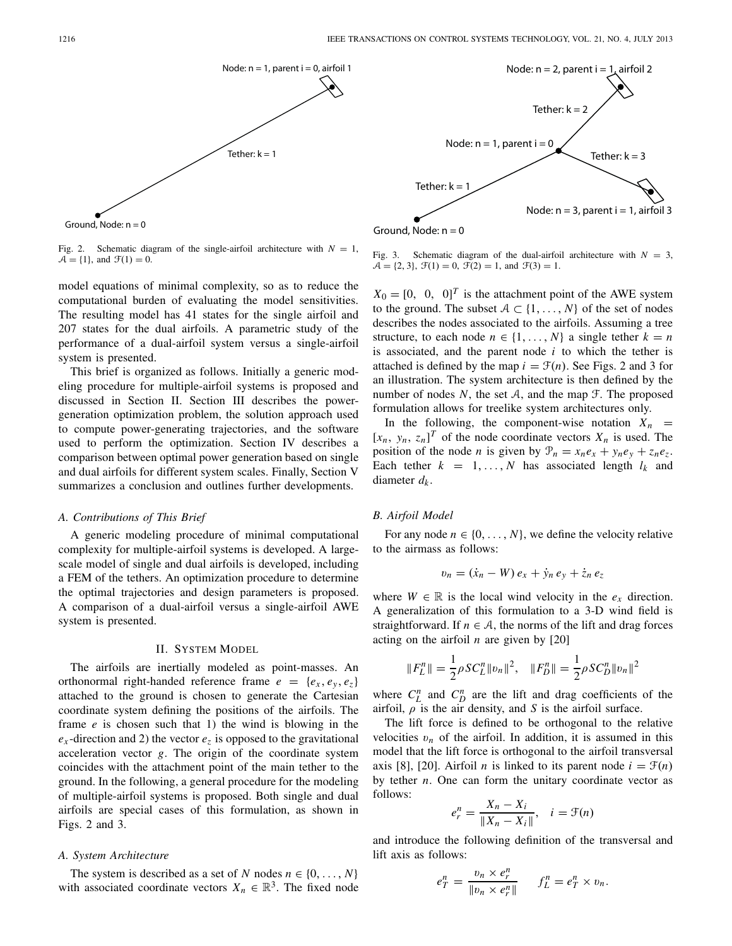

Fig. 2. Schematic diagram of the single-airfoil architecture with  $N = 1$ ,  $A = \{1\}$ , and  $\mathcal{F}(1) = 0$ .

model equations of minimal complexity, so as to reduce the computational burden of evaluating the model sensitivities. The resulting model has 41 states for the single airfoil and 207 states for the dual airfoils. A parametric study of the performance of a dual-airfoil system versus a single-airfoil system is presented.

This brief is organized as follows. Initially a generic modeling procedure for multiple-airfoil systems is proposed and discussed in Section II. Section III describes the powergeneration optimization problem, the solution approach used to compute power-generating trajectories, and the software used to perform the optimization. Section IV describes a comparison between optimal power generation based on single and dual airfoils for different system scales. Finally, Section V summarizes a conclusion and outlines further developments.

# *A. Contributions of This Brief*

A generic modeling procedure of minimal computational complexity for multiple-airfoil systems is developed. A largescale model of single and dual airfoils is developed, including a FEM of the tethers. An optimization procedure to determine the optimal trajectories and design parameters is proposed. A comparison of a dual-airfoil versus a single-airfoil AWE system is presented.

# II. SYSTEM MODEL

The airfoils are inertially modeled as point-masses. An orthonormal right-handed reference frame  $e = \{e_x, e_y, e_z\}$ attached to the ground is chosen to generate the Cartesian coordinate system defining the positions of the airfoils. The frame *e* is chosen such that 1) the wind is blowing in the  $e_x$ -direction and 2) the vector  $e_z$  is opposed to the gravitational acceleration vector *g*. The origin of the coordinate system coincides with the attachment point of the main tether to the ground. In the following, a general procedure for the modeling of multiple-airfoil systems is proposed. Both single and dual airfoils are special cases of this formulation, as shown in Figs. 2 and 3.

### *A. System Architecture*

The system is described as a set of *N* nodes  $n \in \{0, \ldots, N\}$ with associated coordinate vectors  $X_n \in \mathbb{R}^3$ . The fixed node



Fig. 3. Schematic diagram of the dual-airfoil architecture with  $N = 3$ ,  $A = \{2, 3\}, \mathcal{F}(1) = 0, \mathcal{F}(2) = 1, \text{ and } \mathcal{F}(3) = 1.$ 

 $X_0 = [0, 0, 0]^T$  is the attachment point of the AWE system to the ground. The subset  $A \subset \{1, ..., N\}$  of the set of nodes describes the nodes associated to the airfoils. Assuming a tree structure, to each node  $n \in \{1, ..., N\}$  a single tether  $k = n$ is associated, and the parent node *i* to which the tether is attached is defined by the map  $i = \mathcal{F}(n)$ . See Figs. 2 and 3 for an illustration. The system architecture is then defined by the number of nodes  $N$ , the set  $A$ , and the map  $\mathcal F$ . The proposed formulation allows for treelike system architectures only.

In the following, the component-wise notation  $X_n$  =  $[x_n, y_n, z_n]^T$  of the node coordinate vectors  $X_n$  is used. The position of the node *n* is given by  $\mathcal{P}_n = x_n e_x + y_n e_y + z_n e_z$ . Each tether  $k = 1, ..., N$  has associated length  $l_k$  and diameter *dk* .

### *B. Airfoil Model*

For any node  $n \in \{0, \ldots, N\}$ , we define the velocity relative to the airmass as follows:

$$
v_n = (\dot{x}_n - W) e_x + \dot{y}_n e_y + \dot{z}_n e_z
$$

where  $W \in \mathbb{R}$  is the local wind velocity in the  $e_x$  direction. A generalization of this formulation to a 3-D wind field is straightforward. If  $n \in A$ , the norms of the lift and drag forces acting on the airfoil *n* are given by [20]

$$
||F_L^n|| = \frac{1}{2}\rho SC_L^n ||v_n||^2, \quad ||F_D^n|| = \frac{1}{2}\rho SC_D^n ||v_n||^2
$$

where  $C_L^n$  and  $C_D^n$  are the lift and drag coefficients of the airfoil,  $\rho$  is the air density, and *S* is the airfoil surface.

The lift force is defined to be orthogonal to the relative velocities  $v_n$  of the airfoil. In addition, it is assumed in this model that the lift force is orthogonal to the airfoil transversal axis [8], [20]. Airfoil *n* is linked to its parent node  $i = \mathcal{F}(n)$ by tether *n*. One can form the unitary coordinate vector as follows:

$$
e_r^n = \frac{X_n - X_i}{\|X_n - X_i\|}, \quad i = \mathcal{F}(n)
$$

and introduce the following definition of the transversal and lift axis as follows:

$$
e_T^n = \frac{v_n \times e_r^n}{\|v_n \times e_r^n\|} \qquad f_L^n = e_T^n \times v_n.
$$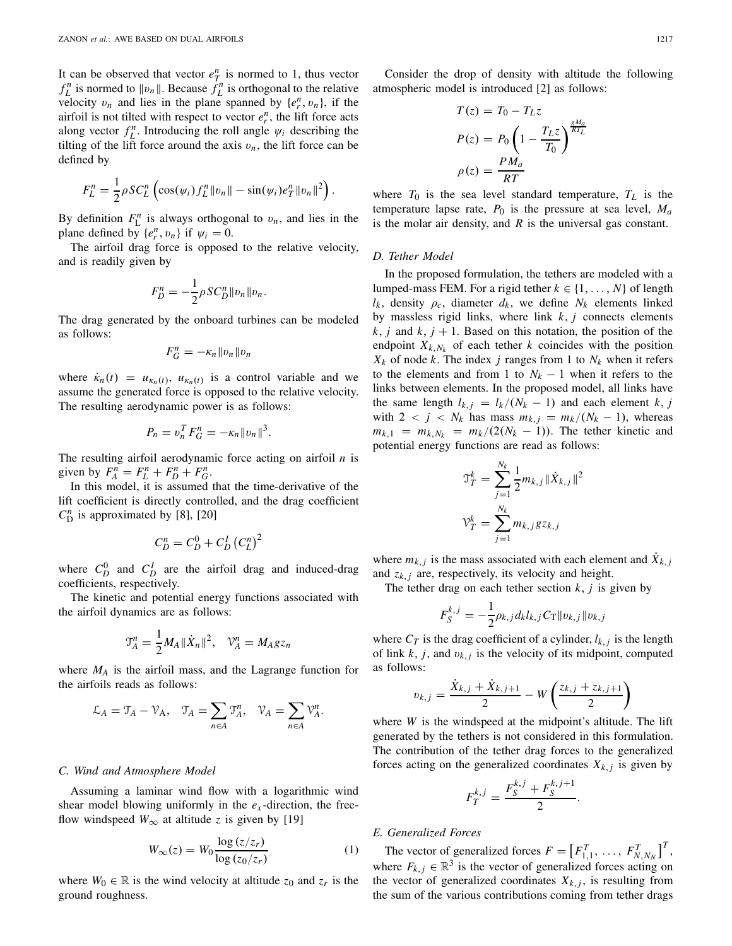It can be observed that vector  $e_T^n$  is normed to 1, thus vector  $f_L^n$  is normed to  $||v_n||$ . Because  $\hat{f}_L^n$  is orthogonal to the relative velocity  $v_n$  and lies in the plane spanned by  $\{e_r^n, v_n\}$ , if the airfoil is not tilted with respect to vector  $e_r^n$ , the lift force acts along vector  $f_L^n$ . Introducing the roll angle  $\psi_i$  describing the tilting of the lift force around the axis  $v_n$ , the lift force can be defined by

$$
F_L^n = \frac{1}{2} \rho \mathcal{S} C_L^n \left( \cos(\psi_i) f_L^n \|v_n\| - \sin(\psi_i) e_T^n \|v_n\|^2 \right).
$$

By definition  $F_L^n$  is always orthogonal to  $v_n$ , and lies in the plane defined by  $\{e_r^n, v_n\}$  if  $\psi_i = 0$ .

The airfoil drag force is opposed to the relative velocity, and is readily given by

$$
F_D^n = -\frac{1}{2}\rho SC_D^n ||v_n|| v_n.
$$

The drag generated by the onboard turbines can be modeled as follows:

$$
F_G^n = -\kappa_n \|v_n\| v_n
$$

where  $\dot{\kappa}_n(t) = u_{\kappa_n(t)}, u_{\kappa_n(t)}$  is a control variable and we assume the generated force is opposed to the relative velocity. The resulting aerodynamic power is as follows:

$$
P_n = v_n^T F_G^n = -\kappa_n \|v_n\|^3.
$$

The resulting airfoil aerodynamic force acting on airfoil *n* is given by  $F_A^n = F_L^n + F_D^n + F_G^n$ .

In this model, it is assumed that the time-derivative of the lift coefficient is directly controlled, and the drag coefficient  $C_{\text{D}}^{n}$  is approximated by [8], [20]

$$
C_D^n = C_D^0 + C_D^I (C_L^n)^2
$$

where  $C_D^0$  and  $C_D^I$  are the airfoil drag and induced-drag coefficients, respectively.

The kinetic and potential energy functions associated with the airfoil dynamics are as follows:

$$
\mathfrak{T}_A^n = \frac{1}{2} M_A ||\dot{X}_n||^2, \quad \mathcal{V}_A^n = M_A g z_n
$$

where *MA* is the airfoil mass, and the Lagrange function for the airfoils reads as follows:

$$
\mathcal{L}_A = \mathcal{T}_A - \mathcal{V}_A, \quad \mathcal{T}_A = \sum_{n \in A} \mathcal{T}_A^n, \quad \mathcal{V}_A = \sum_{n \in A} \mathcal{V}_A^n.
$$

### *C. Wind and Atmosphere Model*

Assuming a laminar wind flow with a logarithmic wind shear model blowing uniformly in the  $e_x$ -direction, the freeflow windspeed  $W_{\infty}$  at altitude *z* is given by [19]

$$
W_{\infty}(z) = W_0 \frac{\log(z/z_r)}{\log(z_0/z_r)}
$$
(1)

where  $W_0 \in \mathbb{R}$  is the wind velocity at altitude  $z_0$  and  $z_r$  is the ground roughness.

$$
T(z) = T_0 - T_L z
$$
  
\n
$$
P(z) = P_0 \left(1 - \frac{T_L z}{T_0}\right)^{\frac{gM_a}{RT_L}}
$$
  
\n
$$
\rho(z) = \frac{P M_a}{RT}
$$

where  $T_0$  is the sea level standard temperature,  $T_L$  is the temperature lapse rate,  $P_0$  is the pressure at sea level,  $M_a$ is the molar air density, and *R* is the universal gas constant.

# *D. Tether Model*

In the proposed formulation, the tethers are modeled with a lumped-mass FEM. For a rigid tether  $k \in \{1, \ldots, N\}$  of length  $l_k$ , density  $\rho_c$ , diameter  $d_k$ , we define  $N_k$  elements linked by massless rigid links, where link *k*, *j* connects elements  $k$ , *j* and  $k$ ,  $j + 1$ . Based on this notation, the position of the endpoint  $X_{k,N_k}$  of each tether *k* coincides with the position  $X_k$  of node *k*. The index *j* ranges from 1 to  $N_k$  when it refers to the elements and from 1 to  $N_k - 1$  when it refers to the links between elements. In the proposed model, all links have the same length  $l_{k,j} = l_k/(N_k - 1)$  and each element *k*, *j* with  $2 < j < N_k$  has mass  $m_{k,j} = m_k/(N_k - 1)$ , whereas  $m_{k,1} = m_{k,N_k} = m_k/(2(N_k - 1))$ . The tether kinetic and potential energy functions are read as follows:

$$
\mathfrak{T}_T^k = \sum_{j=1}^{N_k} \frac{1}{2} m_{k,j} ||\dot{X}_{k,j}||^2
$$

$$
\mathfrak{V}_T^k = \sum_{j=1}^{N_k} m_{k,j} g z_{k,j}
$$

where  $m_{k,j}$  is the mass associated with each element and  $X_{k,j}$ and  $z_{k,j}$  are, respectively, its velocity and height.

The tether drag on each tether section *k*, *j* is given by

$$
F_S^{k,j} = -\frac{1}{2}\rho_{k,j}d_kl_{k,j}C_{\text{T}}||v_{k,j}||v_{k,j}
$$

where  $C_T$  is the drag coefficient of a cylinder,  $l_{k,j}$  is the length of link  $k$ ,  $j$ , and  $v_{k,j}$  is the velocity of its midpoint, computed as follows:

$$
v_{k,j} = \frac{\dot{X}_{k,j} + \dot{X}_{k,j+1}}{2} - W\left(\frac{z_{k,j} + z_{k,j+1}}{2}\right)
$$

where *W* is the windspeed at the midpoint's altitude. The lift generated by the tethers is not considered in this formulation. The contribution of the tether drag forces to the generalized forces acting on the generalized coordinates  $X_{k,j}$  is given by

$$
F_T^{k,j} = \frac{F_S^{k,j} + F_S^{k,j+1}}{2}.
$$

# *E. Generalized Forces*

The vector of generalized forces  $F = \left[F_{1,1}^T, \ldots, F_{N,N_N}^T\right]^T$ , where  $F_{k,j} \in \mathbb{R}^3$  is the vector of generalized forces acting on the vector of generalized coordinates  $X_{k,j}$ , is resulting from the sum of the various contributions coming from tether drags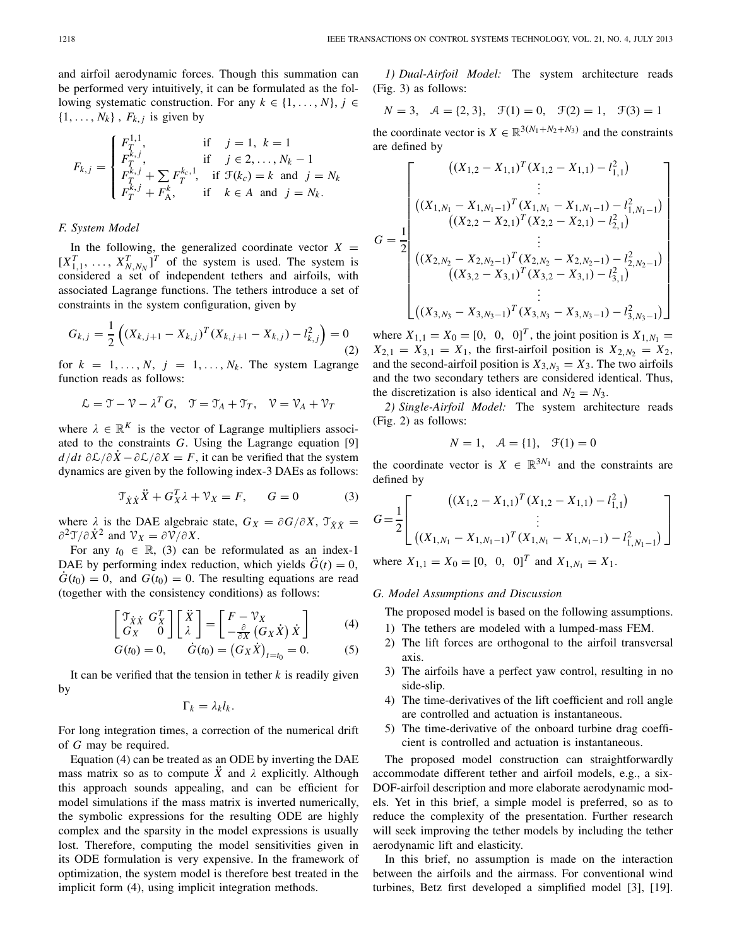and airfoil aerodynamic forces. Though this summation can be performed very intuitively, it can be formulated as the following systematic construction. For any  $k \in \{1, ..., N\}, j \in$  $\{1,\ldots,N_k\}$ ,  $F_{k,j}$  is given by

$$
F_{k,j} = \begin{cases} F_T^{1,1}, & \text{if } j = 1, k = 1\\ F_T^{k,j}, & \text{if } j \in 2, ..., N_k - 1\\ F_T^{k,j} + \sum F_T^{k,c,1}, & \text{if } \mathcal{F}(k_c) = k \text{ and } j = N_k\\ F_T^{k,j} + F_A^k, & \text{if } k \in A \text{ and } j = N_k. \end{cases}
$$

# *F. System Model*

In the following, the generalized coordinate vector  $X =$  $[X_{1,1}^T, \ldots, X_{N,N_N}^T]^T$  of the system is used. The system is considered a set of independent tethers and airfoils, with associated Lagrange functions. The tethers introduce a set of constraints in the system configuration, given by

$$
G_{k,j} = \frac{1}{2} \left( (X_{k,j+1} - X_{k,j})^T (X_{k,j+1} - X_{k,j}) - l_{k,j}^2 \right) = 0
$$
\n(2)

for  $k = 1, \ldots, N$ ,  $j = 1, \ldots, N_k$ . The system Lagrange function reads as follows:

$$
\mathcal{L} = \mathcal{T} - \mathcal{V} - \lambda^T G, \quad \mathcal{T} = \mathcal{T}_A + \mathcal{T}_T, \quad \mathcal{V} = \mathcal{V}_A + \mathcal{V}_T
$$

where  $\lambda \in \mathbb{R}^K$  is the vector of Lagrange multipliers associated to the constraints *G*. Using the Lagrange equation [9] *d*/*dt*  $\partial$ L/ $\partial$ X −  $\partial$ L/ $\partial$ X = F, it can be verified that the system dynamics are given by the following index-3 DAEs as follows:

$$
\mathcal{T}_{\dot{X}\dot{X}}\ddot{X} + G_{X}^{T}\lambda + \mathcal{V}_{X} = F, \qquad G = 0 \tag{3}
$$

where  $\lambda$  is the DAE algebraic state,  $G_X = \partial G / \partial X$ ,  $\mathcal{T}_{\dot{X}\dot{X}} =$  $\partial^2 \mathcal{T}/\partial \dot{X}^2$  and  $\mathcal{V}_X = \partial \mathcal{V}/\partial X$ .

For any  $t_0 \in \mathbb{R}$ , (3) can be reformulated as an index-1 DAE by performing index reduction, which yields  $\ddot{G}(t) = 0$ ,  $G(t_0) = 0$ , and  $G(t_0) = 0$ . The resulting equations are read (together with the consistency conditions) as follows:

$$
\begin{bmatrix} \mathfrak{T}_{\dot{X}\dot{X}} & G_{X}^{T} \\ G_{X} & 0 \end{bmatrix} \begin{bmatrix} \ddot{X} \\ \lambda \end{bmatrix} = \begin{bmatrix} F - \mathfrak{V}_{X} \\ -\frac{\partial}{\partial X} (G_{X}\dot{X}) & \dot{X} \end{bmatrix}
$$
(4)

$$
\begin{bmatrix} G_X & 0 \end{bmatrix} \begin{bmatrix} \lambda \end{bmatrix} = \begin{bmatrix} -\frac{\partial}{\partial X} (G_X \dot{X}) \dot{X} \end{bmatrix}
$$
 (7)

$$
G(t_0) = 0, \qquad \dot{G}(t_0) = (G_X \dot{X})_{t=t_0} = 0. \tag{5}
$$

It can be verified that the tension in tether  $k$  is readily given by

$$
\Gamma_k=\lambda_k l_k.
$$

For long integration times, a correction of the numerical drift of *G* may be required.

Equation (4) can be treated as an ODE by inverting the DAE mass matrix so as to compute  $\hat{X}$  and  $\lambda$  explicitly. Although this approach sounds appealing, and can be efficient for model simulations if the mass matrix is inverted numerically, the symbolic expressions for the resulting ODE are highly complex and the sparsity in the model expressions is usually lost. Therefore, computing the model sensitivities given in its ODE formulation is very expensive. In the framework of optimization, the system model is therefore best treated in the implicit form (4), using implicit integration methods.

*1) Dual-Airfoil Model:* The system architecture reads (Fig. 3) as follows:

$$
N = 3
$$
,  $A = \{2, 3\}$ ,  $\mathcal{F}(1) = 0$ ,  $\mathcal{F}(2) = 1$ ,  $\mathcal{F}(3) = 1$ 

the coordinate vector is  $X \in \mathbb{R}^{3(N_1+N_2+N_3)}$  and the constraints are defined by

$$
G = \frac{1}{2} \begin{bmatrix} ((X_{1,2} - X_{1,1})^T (X_{1,2} - X_{1,1}) - l_{1,1}^2) \\ \vdots \\ ((X_{1,N_1} - X_{1,N_1-1})^T (X_{1,N_1} - X_{1,N_1-1}) - l_{1,N_1-1}^2) \\ ((X_{2,2} - X_{2,1})^T (X_{2,2} - X_{2,1}) - l_{2,1}^2) \\ \vdots \\ ((X_{2,N_2} - X_{2,N_2-1})^T (X_{2,N_2} - X_{2,N_2-1}) - l_{2,N_2-1}^2) \\ ((X_{3,2} - X_{3,1})^T (X_{3,2} - X_{3,1}) - l_{3,1}^2) \\ \vdots \\ ((X_{3,N_3} - X_{3,N_3-1})^T (X_{3,N_3} - X_{3,N_3-1}) - l_{3,N_3-1}^2) \end{bmatrix}
$$

where  $X_{1,1} = X_0 = [0, 0, 0]^T$ , the joint position is  $X_{1,N_1} =$  $X_{2,1} = X_{3,1} = X_1$ , the first-airfoil position is  $X_{2,N_2} = X_2$ , and the second-airfoil position is  $X_{3,N_3} = X_3$ . The two airfoils and the two secondary tethers are considered identical. Thus, the discretization is also identical and  $N_2 = N_3$ .

*2) Single-Airfoil Model:* The system architecture reads (Fig. 2) as follows:

$$
N = 1
$$
,  $A = \{1\}$ ,  $\mathcal{F}(1) = 0$ 

the coordinate vector is  $X \in \mathbb{R}^{3N_1}$  and the constraints are defined by

$$
G = \frac{1}{2} \left[ \begin{array}{c} ((X_{1,2} - X_{1,1})^T (X_{1,2} - X_{1,1}) - l_{1,1}^2) \\ \vdots \\ ((X_{1,N_1} - X_{1,N_1-1})^T (X_{1,N_1} - X_{1,N_1-1}) - l_{1,N_1-1}^2) \end{array} \right]
$$

where  $X_{1,1} = X_0 = [0, 0, 0]^T$  and  $X_{1,N_1} = X_1$ .

# *G. Model Assumptions and Discussion*

The proposed model is based on the following assumptions.

- 1) The tethers are modeled with a lumped-mass FEM.
- 2) The lift forces are orthogonal to the airfoil transversal axis.
- 3) The airfoils have a perfect yaw control, resulting in no side-slip.
- 4) The time-derivatives of the lift coefficient and roll angle are controlled and actuation is instantaneous.
- 5) The time-derivative of the onboard turbine drag coefficient is controlled and actuation is instantaneous.

The proposed model construction can straightforwardly accommodate different tether and airfoil models, e.g., a six-DOF-airfoil description and more elaborate aerodynamic models. Yet in this brief, a simple model is preferred, so as to reduce the complexity of the presentation. Further research will seek improving the tether models by including the tether aerodynamic lift and elasticity.

In this brief, no assumption is made on the interaction between the airfoils and the airmass. For conventional wind turbines, Betz first developed a simplified model [3], [19].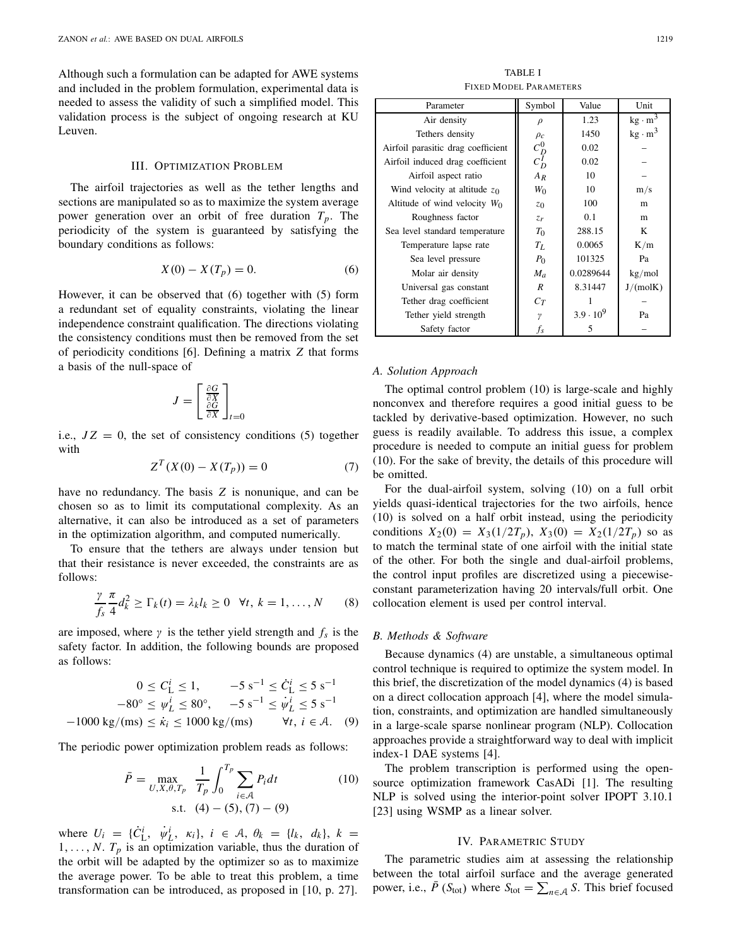Although such a formulation can be adapted for AWE systems and included in the problem formulation, experimental data is needed to assess the validity of such a simplified model. This validation process is the subject of ongoing research at KU Leuven.

### III. OPTIMIZATION PROBLEM

The airfoil trajectories as well as the tether lengths and sections are manipulated so as to maximize the system average power generation over an orbit of free duration *Tp*. The periodicity of the system is guaranteed by satisfying the boundary conditions as follows:

$$
X(0) - X(T_p) = 0.
$$
 (6)

However, it can be observed that (6) together with (5) form a redundant set of equality constraints, violating the linear independence constraint qualification. The directions violating the consistency conditions must then be removed from the set of periodicity conditions [6]. Defining a matrix *Z* that forms a basis of the null-space of

$$
J = \begin{bmatrix} \frac{\partial G}{\partial X} \\ \frac{\partial G}{\partial X} \end{bmatrix}_{t=0}
$$

i.e.,  $JZ = 0$ , the set of consistency conditions (5) together with

$$
Z^{T}(X(0) - X(T_p)) = 0
$$
\n(7)

have no redundancy. The basis *Z* is nonunique, and can be chosen so as to limit its computational complexity. As an alternative, it can also be introduced as a set of parameters in the optimization algorithm, and computed numerically.

To ensure that the tethers are always under tension but that their resistance is never exceeded, the constraints are as follows:

$$
\frac{\gamma}{f_s}\frac{\pi}{4}d_k^2 \ge \Gamma_k(t) = \lambda_k l_k \ge 0 \quad \forall t, \ k = 1, \dots, N \qquad (8)
$$

are imposed, where  $\gamma$  is the tether yield strength and  $f_s$  is the safety factor. In addition, the following bounds are proposed as follows:

$$
0 \le C_{\text{L}}^{i} \le 1, \quad -5 \text{ s}^{-1} \le \dot{C}_{\text{L}}^{i} \le 5 \text{ s}^{-1}
$$

$$
-80^{\circ} \le \psi_{\text{L}}^{i} \le 80^{\circ}, \quad -5 \text{ s}^{-1} \le \dot{\psi}_{\text{L}}^{i} \le 5 \text{ s}^{-1}
$$

$$
-1000 \text{ kg/(ms)} \le \dot{\kappa}_{i} \le 1000 \text{ kg/(ms)} \quad \forall t, i \in \mathcal{A}. \quad (9)
$$

The periodic power optimization problem reads as follows:

$$
\bar{P} = \max_{U, X, \theta, T_p} \frac{1}{T_p} \int_0^{T_p} \sum_{i \in \mathcal{A}} P_i dt
$$
\n
$$
\text{s.t.} \quad (4) - (5), (7) - (9)
$$
\n(10)

where  $U_i = \{\dot{C}_L^i, \dot{\psi}_L^i, \kappa_i\}, i \in \mathcal{A}, \theta_k = \{l_k, d_k\}, k =$  $1, \ldots, N$ .  $T_p$  is an optimization variable, thus the duration of the orbit will be adapted by the optimizer so as to maximize the average power. To be able to treat this problem, a time transformation can be introduced, as proposed in [10, p. 27].

TABLE I FIXED MODEL PARAMETERS

| Parameter                          | Symbol         | Value              | Unit           |
|------------------------------------|----------------|--------------------|----------------|
| Air density                        | $\rho$         | 1.23               | $kg \cdot m^3$ |
| Tethers density                    | $\rho_c$       | 1450               | $kg \cdot m^3$ |
| Airfoil parasitic drag coefficient |                | 0.02               |                |
| Airfoil induced drag coefficient   | $C_D^0$        | 0.02               |                |
| Airfoil aspect ratio               | $A_R$          | 10                 |                |
| Wind velocity at altitude $z_0$    | $W_0$          | 10                 | m/s            |
| Altitude of wind velocity $W_0$    | Z <sub>0</sub> | 100                | m              |
| Roughness factor                   | $z_r$          | 0.1                | m              |
| Sea level standard temperature     | $T_0$          | 288.15             | K              |
| Temperature lapse rate             | $T_L$          | 0.0065             | K/m            |
| Sea level pressure                 | $P_{0}$        | 101325             | Pa             |
| Molar air density                  | $M_a$          | 0.0289644          | kg/mol         |
| Universal gas constant             | R              | 8.31447            | J/(molK)       |
| Tether drag coefficient            | $C_T$          | 1                  |                |
| Tether yield strength              | γ              | $3.9 \cdot 10^{9}$ | Pa             |
| Safety factor                      |                | 5                  |                |

### *A. Solution Approach*

The optimal control problem (10) is large-scale and highly nonconvex and therefore requires a good initial guess to be tackled by derivative-based optimization. However, no such guess is readily available. To address this issue, a complex procedure is needed to compute an initial guess for problem (10). For the sake of brevity, the details of this procedure will be omitted.

For the dual-airfoil system, solving (10) on a full orbit yields quasi-identical trajectories for the two airfoils, hence (10) is solved on a half orbit instead, using the periodicity conditions  $X_2(0) = X_3(1/2T_p)$ ,  $X_3(0) = X_2(1/2T_p)$  so as to match the terminal state of one airfoil with the initial state of the other. For both the single and dual-airfoil problems, the control input profiles are discretized using a piecewiseconstant parameterization having 20 intervals/full orbit. One collocation element is used per control interval.

### *B. Methods & Software*

Because dynamics (4) are unstable, a simultaneous optimal control technique is required to optimize the system model. In this brief, the discretization of the model dynamics (4) is based on a direct collocation approach [4], where the model simulation, constraints, and optimization are handled simultaneously in a large-scale sparse nonlinear program (NLP). Collocation approaches provide a straightforward way to deal with implicit index-1 DAE systems [4].

The problem transcription is performed using the opensource optimization framework CasADi [1]. The resulting NLP is solved using the interior-point solver IPOPT 3.10.1 [23] using WSMP as a linear solver.

# IV. PARAMETRIC STUDY

The parametric studies aim at assessing the relationship between the total airfoil surface and the average generated power, i.e.,  $\bar{P}(S_{\text{tot}})$  where  $S_{\text{tot}} = \sum_{n \in A} S$ . This brief focused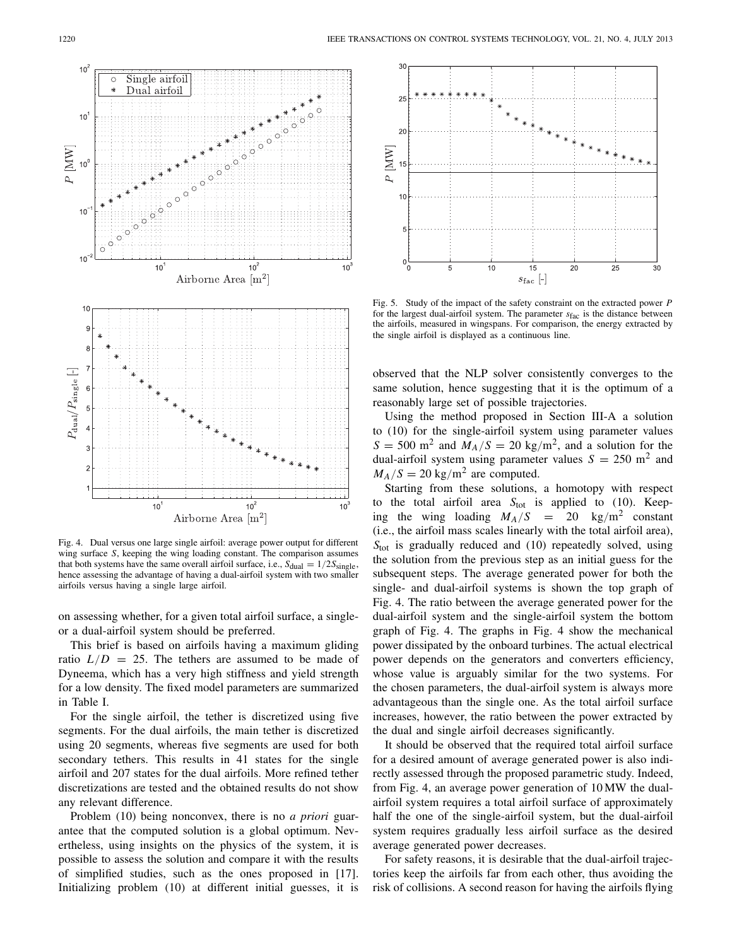

Fig. 4. Dual versus one large single airfoil: average power output for different wing surface *S*, keeping the wing loading constant. The comparison assumes that both systems have the same overall airfoil surface, i.e.,  $S_{\text{dual}} = 1/2S_{\text{single}}$ , hence assessing the advantage of having a dual-airfoil system with two smaller airfoils versus having a single large airfoil.

on assessing whether, for a given total airfoil surface, a singleor a dual-airfoil system should be preferred.

This brief is based on airfoils having a maximum gliding ratio  $L/D = 25$ . The tethers are assumed to be made of Dyneema, which has a very high stiffness and yield strength for a low density. The fixed model parameters are summarized in Table I.

For the single airfoil, the tether is discretized using five segments. For the dual airfoils, the main tether is discretized using 20 segments, whereas five segments are used for both secondary tethers. This results in 41 states for the single airfoil and 207 states for the dual airfoils. More refined tether discretizations are tested and the obtained results do not show any relevant difference.

Problem (10) being nonconvex, there is no *a priori* guarantee that the computed solution is a global optimum. Nevertheless, using insights on the physics of the system, it is possible to assess the solution and compare it with the results of simplified studies, such as the ones proposed in [17]. Initializing problem (10) at different initial guesses, it is



Fig. 5. Study of the impact of the safety constraint on the extracted power *P* for the largest dual-airfoil system. The parameter *s*fac is the distance between the airfoils, measured in wingspans. For comparison, the energy extracted by the single airfoil is displayed as a continuous line.

observed that the NLP solver consistently converges to the same solution, hence suggesting that it is the optimum of a reasonably large set of possible trajectories.

Using the method proposed in Section III-A a solution to (10) for the single-airfoil system using parameter values  $S = 500$  m<sup>2</sup> and  $M_A/S = 20$  kg/m<sup>2</sup>, and a solution for the dual-airfoil system using parameter values  $S = 250$  m<sup>2</sup> and  $M_A/S = 20$  kg/m<sup>2</sup> are computed.

Starting from these solutions, a homotopy with respect to the total airfoil area  $S_{\text{tot}}$  is applied to (10). Keeping the wing loading  $M_A/S = 20$  kg/m<sup>2</sup> constant (i.e., the airfoil mass scales linearly with the total airfoil area), *S*tot is gradually reduced and (10) repeatedly solved, using the solution from the previous step as an initial guess for the subsequent steps. The average generated power for both the single- and dual-airfoil systems is shown the top graph of Fig. 4. The ratio between the average generated power for the dual-airfoil system and the single-airfoil system the bottom graph of Fig. 4. The graphs in Fig. 4 show the mechanical power dissipated by the onboard turbines. The actual electrical power depends on the generators and converters efficiency, whose value is arguably similar for the two systems. For the chosen parameters, the dual-airfoil system is always more advantageous than the single one. As the total airfoil surface increases, however, the ratio between the power extracted by the dual and single airfoil decreases significantly.

It should be observed that the required total airfoil surface for a desired amount of average generated power is also indirectly assessed through the proposed parametric study. Indeed, from Fig. 4, an average power generation of 10 MW the dualairfoil system requires a total airfoil surface of approximately half the one of the single-airfoil system, but the dual-airfoil system requires gradually less airfoil surface as the desired average generated power decreases.

For safety reasons, it is desirable that the dual-airfoil trajectories keep the airfoils far from each other, thus avoiding the risk of collisions. A second reason for having the airfoils flying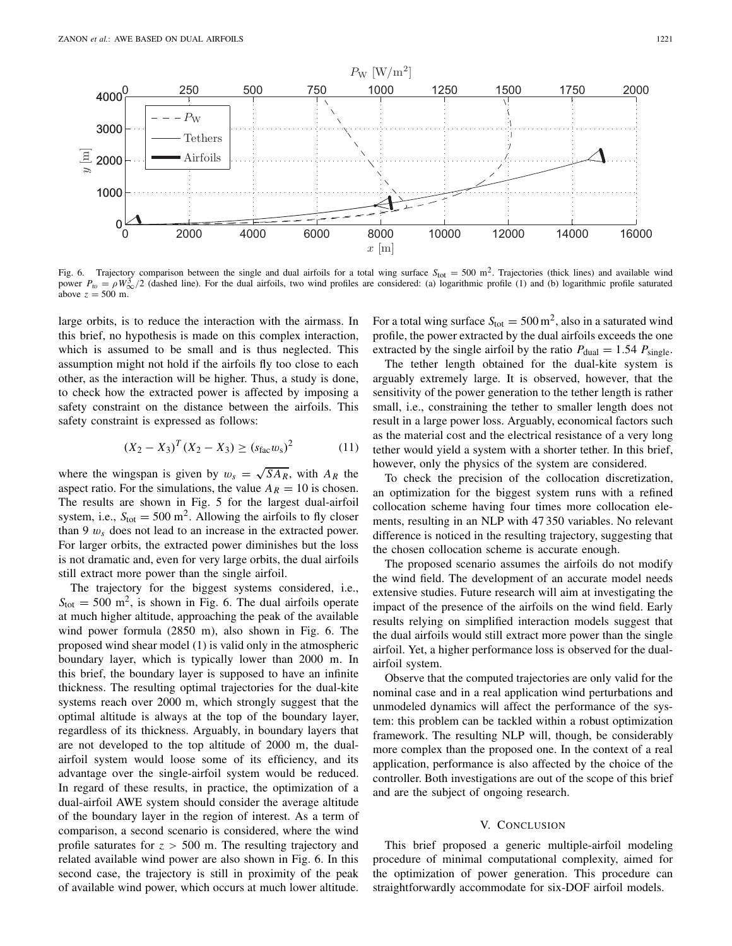

Fig. 6. Trajectory comparison between the single and dual airfoils for a total wing surface  $S_{\text{tot}} = 500 \text{ m}^2$ . Trajectories (thick lines) and available wind power  $P_w = \rho W_{\infty}^3/2$  (dashed line). For the dual airfoils, two wind profiles are considered: (a) logarithmic profile (1) and (b) logarithmic profile saturated above  $z = 500$  m.

large orbits, is to reduce the interaction with the airmass. In this brief, no hypothesis is made on this complex interaction, which is assumed to be small and is thus neglected. This assumption might not hold if the airfoils fly too close to each other, as the interaction will be higher. Thus, a study is done, to check how the extracted power is affected by imposing a safety constraint on the distance between the airfoils. This safety constraint is expressed as follows:

$$
(X_2 - X_3)^T (X_2 - X_3) \ge (s_{\text{fac}} w_s)^2 \tag{11}
$$

where the wingspan is given by  $w_s = \sqrt{SA_R}$ , with  $A_R$  the aspect ratio. For the simulations, the value  $A_R = 10$  is chosen. The results are shown in Fig. 5 for the largest dual-airfoil system, i.e.,  $S_{\text{tot}} = 500 \text{ m}^2$ . Allowing the airfoils to fly closer than 9  $w_s$  does not lead to an increase in the extracted power. For larger orbits, the extracted power diminishes but the loss is not dramatic and, even for very large orbits, the dual airfoils still extract more power than the single airfoil.

The trajectory for the biggest systems considered, i.e.,  $S<sub>tot</sub> = 500$  m<sup>2</sup>, is shown in Fig. 6. The dual airfoils operate at much higher altitude, approaching the peak of the available wind power formula (2850 m), also shown in Fig. 6. The proposed wind shear model (1) is valid only in the atmospheric boundary layer, which is typically lower than 2000 m. In this brief, the boundary layer is supposed to have an infinite thickness. The resulting optimal trajectories for the dual-kite systems reach over 2000 m, which strongly suggest that the optimal altitude is always at the top of the boundary layer, regardless of its thickness. Arguably, in boundary layers that are not developed to the top altitude of 2000 m, the dualairfoil system would loose some of its efficiency, and its advantage over the single-airfoil system would be reduced. In regard of these results, in practice, the optimization of a dual-airfoil AWE system should consider the average altitude of the boundary layer in the region of interest. As a term of comparison, a second scenario is considered, where the wind profile saturates for  $z > 500$  m. The resulting trajectory and related available wind power are also shown in Fig. 6. In this second case, the trajectory is still in proximity of the peak of available wind power, which occurs at much lower altitude.

For a total wing surface  $S_{\text{tot}} = 500 \text{ m}^2$ , also in a saturated wind profile, the power extracted by the dual airfoils exceeds the one extracted by the single airfoil by the ratio  $P_{\text{dual}} = 1.54 P_{\text{single}}$ .

The tether length obtained for the dual-kite system is arguably extremely large. It is observed, however, that the sensitivity of the power generation to the tether length is rather small, i.e., constraining the tether to smaller length does not result in a large power loss. Arguably, economical factors such as the material cost and the electrical resistance of a very long tether would yield a system with a shorter tether. In this brief, however, only the physics of the system are considered.

To check the precision of the collocation discretization, an optimization for the biggest system runs with a refined collocation scheme having four times more collocation elements, resulting in an NLP with 47 350 variables. No relevant difference is noticed in the resulting trajectory, suggesting that the chosen collocation scheme is accurate enough.

The proposed scenario assumes the airfoils do not modify the wind field. The development of an accurate model needs extensive studies. Future research will aim at investigating the impact of the presence of the airfoils on the wind field. Early results relying on simplified interaction models suggest that the dual airfoils would still extract more power than the single airfoil. Yet, a higher performance loss is observed for the dualairfoil system.

Observe that the computed trajectories are only valid for the nominal case and in a real application wind perturbations and unmodeled dynamics will affect the performance of the system: this problem can be tackled within a robust optimization framework. The resulting NLP will, though, be considerably more complex than the proposed one. In the context of a real application, performance is also affected by the choice of the controller. Both investigations are out of the scope of this brief and are the subject of ongoing research.

# V. CONCLUSION

This brief proposed a generic multiple-airfoil modeling procedure of minimal computational complexity, aimed for the optimization of power generation. This procedure can straightforwardly accommodate for six-DOF airfoil models.